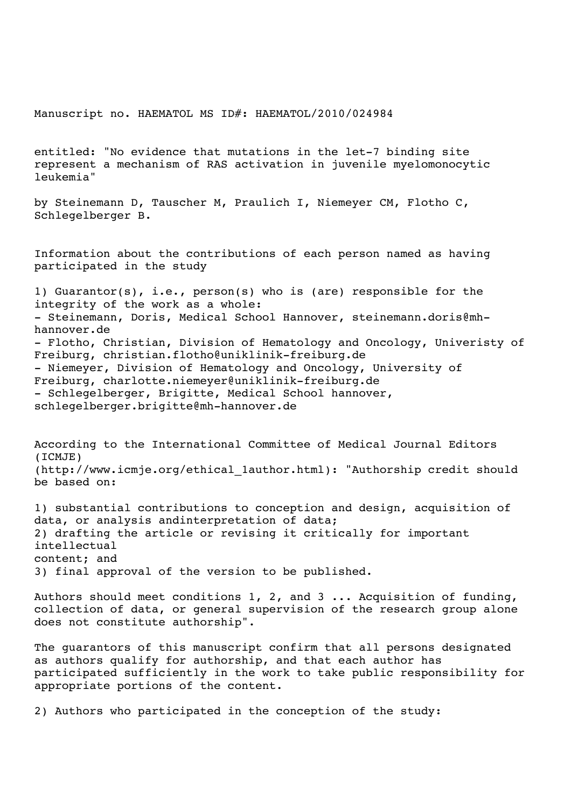Manuscript no. HAEMATOL MS ID#: HAEMATOL/2010/024984

entitled: "No evidence that mutations in the let-7 binding site represent a mechanism of RAS activation in juvenile myelomonocytic leukemia"

by Steinemann D, Tauscher M, Praulich I, Niemeyer CM, Flotho C, Schlegelberger B.

Information about the contributions of each person named as having participated in the study

1) Guarantor(s), i.e., person(s) who is (are) responsible for the integrity of the work as a whole: - Steinemann, Doris, Medical School Hannover, steinemann.doris@mhhannover.de - Flotho, Christian, Division of Hematology and Oncology, Univeristy of Freiburg, christian.flotho@uniklinik-freiburg.de - Niemeyer, Division of Hematology and Oncology, University of Freiburg, charlotte.niemeyer@uniklinik-freiburg.de - Schlegelberger, Brigitte, Medical School hannover, schlegelberger.brigitte@mh-hannover.de

According to the International Committee of Medical Journal Editors (ICMJE) (http://www.icmje.org/ethical\_1author.html): "Authorship credit should be based on:

1) substantial contributions to conception and design, acquisition of data, or analysis andinterpretation of data; 2) drafting the article or revising it critically for important intellectual content; and 3) final approval of the version to be published.

Authors should meet conditions 1, 2, and 3 ... Acquisition of funding, collection of data, or general supervision of the research group alone does not constitute authorship".

The guarantors of this manuscript confirm that all persons designated as authors qualify for authorship, and that each author has participated sufficiently in the work to take public responsibility for appropriate portions of the content.

2) Authors who participated in the conception of the study: